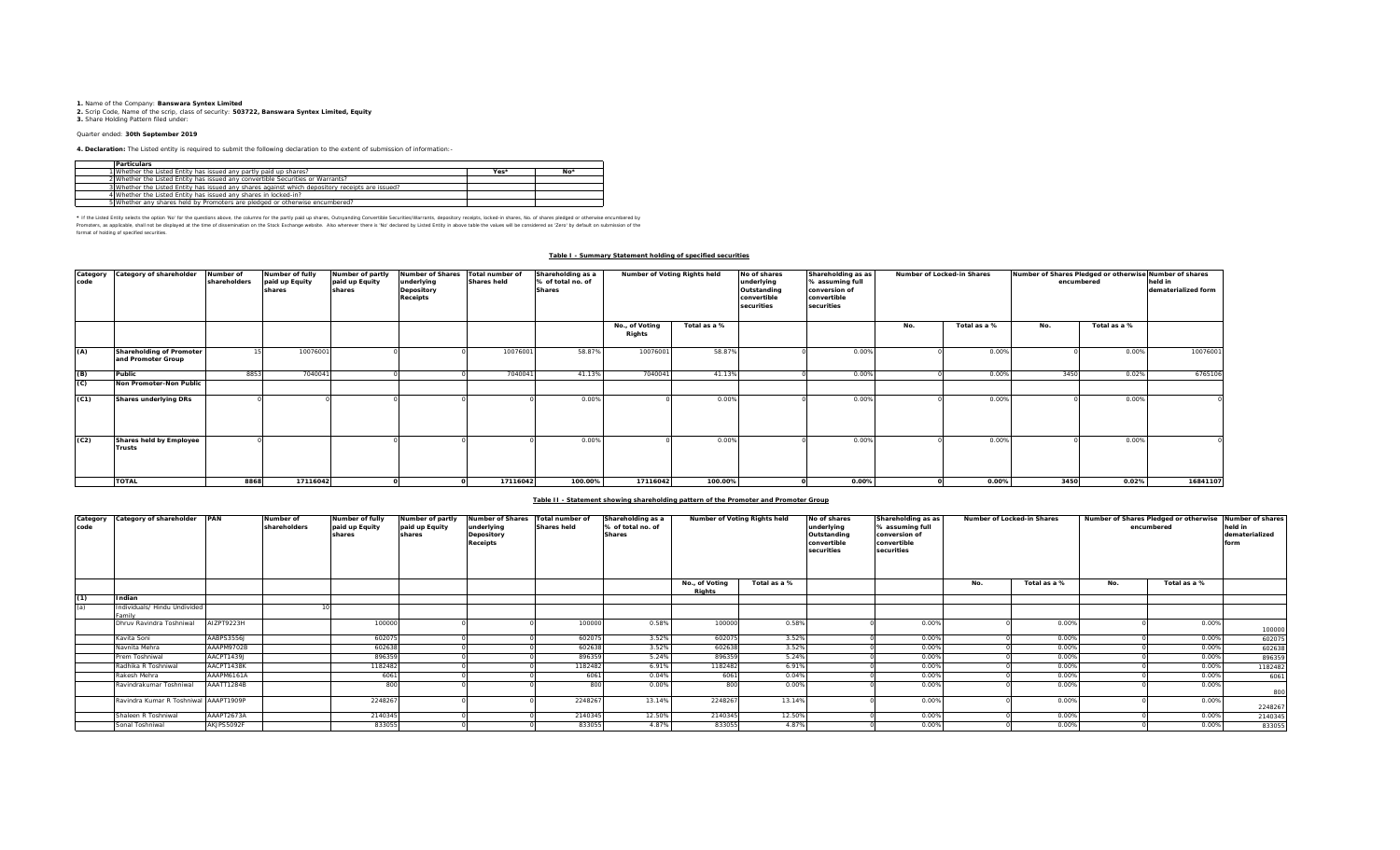**1.** Name of the Company: **Banswara Syntex Limited 2.** Scrip Code, Name of the scrip, class of security: **503722, Banswara Syntex Limited, Equity 3.** Share Holding Pattern filed under:

# Quarter ended: **30th September 2019**

**4. Declaration:** The Listed entity is required to submit the following declaration to the extent of submission of information:-

| <b>Particulars</b>                                                                              |      |       |
|-------------------------------------------------------------------------------------------------|------|-------|
| 1 Whether the Listed Entity has issued any partly paid up shares?                               | Yes* | $No*$ |
| 2 Whether the Listed Entity has issued any convertible Securities or Warrants?                  |      |       |
| 3 Whether the Listed Entity has issued any shares against which depository receipts are issued? |      |       |
| 4 Whether the Listed Entity has issued any shares in locked-in?                                 |      |       |
| 5 Whether any shares held by Promoters are pledged or otherwise encumbered?                     |      |       |

\* If ne Listed Ently selects ine opton War for the equasitons above, the outwars for the partly share, Quityandng Convertible Securities/Warrants, depository receipts, boked-in shares, No. of shares predget or otherwise in format of holding of specified securities.

#### **Table I - Summary Statement holding of specified securities**

| Category<br>code | Category of shareholder                        | Number of<br>shareholders | Number of fully<br>paid up Equity<br>shares | Number of partly<br>paid up Equity<br>shares | <b>Number of Shares</b><br>underlying<br>Depository<br><b>Receipts</b> | Total number of<br><b>Shares held</b> | Shareholding as a<br>% of total no. of<br><b>Shares</b> | Number of Voting Rights held |              | No of shares<br>underlying<br>Outstanding<br>convertible<br>securities | Shareholding as as<br>% assuming full<br>conversion of<br>convertible<br>securities | Number of Locked-in Shares |              | Number of Shares Pledged or otherwise Number of shares<br>encumbered |              | held in<br>dematerialized form |
|------------------|------------------------------------------------|---------------------------|---------------------------------------------|----------------------------------------------|------------------------------------------------------------------------|---------------------------------------|---------------------------------------------------------|------------------------------|--------------|------------------------------------------------------------------------|-------------------------------------------------------------------------------------|----------------------------|--------------|----------------------------------------------------------------------|--------------|--------------------------------|
|                  |                                                |                           |                                             |                                              |                                                                        |                                       |                                                         | No., of Voting<br>Rights     | Total as a % |                                                                        |                                                                                     | No.                        | Total as a % | No.                                                                  | Total as a % |                                |
| (A)              | Shareholding of Promoter<br>and Promoter Group |                           | 10076001                                    |                                              |                                                                        | 10076001                              | 58.87%                                                  | 10076001                     | 58.87%       |                                                                        | 0.00%                                                                               |                            | 0.00%        |                                                                      | 0.00%        | 10076001                       |
| (B)              | Public                                         | 8853                      | 7040041                                     |                                              |                                                                        | 7040041                               | 41.13%                                                  | 704004                       | 41.13%       |                                                                        | 0.00%                                                                               |                            | 0.00%        | 3450                                                                 | 0.02%        | 6765106                        |
| (C)              | Non Promoter-Non Public                        |                           |                                             |                                              |                                                                        |                                       |                                                         |                              |              |                                                                        |                                                                                     |                            |              |                                                                      |              |                                |
| (C1)             | Shares underlying DRs                          |                           |                                             |                                              |                                                                        |                                       | 0.009                                                   |                              | 0.00%        |                                                                        | 0.00%                                                                               |                            | 0.00%        |                                                                      | 0.00%        |                                |
| (C2)             | Shares held by Employee<br>Trusts              |                           |                                             |                                              |                                                                        |                                       | 0.009                                                   |                              | 0.00%        |                                                                        | 0.00%                                                                               |                            | 0.00%        |                                                                      | 0.00%        |                                |
|                  | <b>TOTAL</b>                                   | 8868                      | 17116042                                    |                                              |                                                                        | 17116042                              | 100.00%                                                 | 17116042                     | 100.00%      |                                                                        | 0.00%                                                                               |                            | 0.00%        | 3450                                                                 | 0.02%        | 16841107                       |

### **Table II - Statement showing shareholding pattern of the Promoter and Promoter Group**

| code | Category Category of shareholder PAN   |            | Number of<br>shareholders | Number of fully<br>paid up Equity<br>shares | Number of partly<br>paid up Equity<br>shares | <b>Number of Shares</b><br>underlying<br>Depository<br><b>Receipts</b> | Total number of<br><b>Shares held</b> | Shareholding as a<br>% of total no. of<br><b>Shares</b> | Number of Voting Rights held |              | No of shares<br>Shareholding as as<br>underlying<br>% assuming full<br>conversion of<br>Outstanding<br>convertible<br>convertible<br>securities<br>securities |       | Number of Locked-in Shares |              | Number of Shares Pledged or otherwise<br>encumbered |              | Number of shares<br>held in<br>dematerialized<br>form |
|------|----------------------------------------|------------|---------------------------|---------------------------------------------|----------------------------------------------|------------------------------------------------------------------------|---------------------------------------|---------------------------------------------------------|------------------------------|--------------|---------------------------------------------------------------------------------------------------------------------------------------------------------------|-------|----------------------------|--------------|-----------------------------------------------------|--------------|-------------------------------------------------------|
|      |                                        |            |                           |                                             |                                              |                                                                        |                                       |                                                         | No., of Voting<br>Riahts     | Total as a % |                                                                                                                                                               |       | No.                        | Total as a % | No.                                                 | Total as a % |                                                       |
| (1)  | Indian                                 |            |                           |                                             |                                              |                                                                        |                                       |                                                         |                              |              |                                                                                                                                                               |       |                            |              |                                                     |              |                                                       |
| (a)  | Individuals/ Hindu Undivided<br>'amil' |            |                           |                                             |                                              |                                                                        |                                       |                                                         |                              |              |                                                                                                                                                               |       |                            |              |                                                     |              |                                                       |
|      | Dhruy Ravindra Toshniwal               | AIZPT9223H |                           | 100000                                      |                                              |                                                                        | 100000                                | 0.58%                                                   | 100000                       | 0.58%        |                                                                                                                                                               | 0.00% |                            | 0.00%        |                                                     | 0.00%        | 100000                                                |
|      | Kavita Soni                            | AABPS3556J |                           | 602075                                      |                                              |                                                                        | 60207                                 | 3.52%                                                   | 602075                       | 3.52%        |                                                                                                                                                               | 0.00% |                            | 0.00%        |                                                     | 0.00%        | 602075                                                |
|      | Navnita Mehra                          | AAAPM9702B |                           | 602638                                      |                                              |                                                                        | 602638                                | 3.52%                                                   | 602638                       | 3.52%        |                                                                                                                                                               | 0.00% |                            | 0.00%        |                                                     | 0.00%        | 602638                                                |
|      | Prem Toshniwal                         | AACPT1439J |                           | 896359                                      |                                              |                                                                        | 896359                                | 5.24%                                                   | 896359                       | 5.24%        |                                                                                                                                                               | 0.00% |                            | 0.00%        |                                                     | 0.00%        | 896359                                                |
|      | Radhika R Toshniwal                    | AACPT1438K |                           | 1182482                                     |                                              |                                                                        | 1182482                               | 6.91%                                                   | 1182482                      | 6.91%        |                                                                                                                                                               | 0.00% |                            | 0.00%        |                                                     | 0.00%        | 1182482                                               |
|      | Rakesh Mehra                           | AAAPM6161A |                           | 6061                                        |                                              |                                                                        | 6061                                  | 0.04%                                                   | 6061                         | 0.04%        |                                                                                                                                                               | 0.00% |                            | 0.00%        |                                                     | 0.00%        | 6061                                                  |
|      | Ravindrakumar Toshniwal                | AAATT1284B |                           | 800                                         |                                              |                                                                        | 800                                   | 0.00%                                                   | 800                          | 0.00%        |                                                                                                                                                               | 0.00% |                            | 0.00%        |                                                     | 0.00%        | 800                                                   |
|      | Ravindra Kumar R Toshniwal AAAPT1909P  |            |                           | 2248267                                     |                                              |                                                                        | 2248267                               | 13.14%                                                  | 2248267                      | 13.14%       |                                                                                                                                                               | 0.00% |                            | 0.00%        |                                                     | 0.00%        | 2248267                                               |
|      | Shaleen R Toshniwal                    | AAAPT2673A |                           | 2140345                                     |                                              |                                                                        | 2140345                               | 12.50%                                                  | 2140345                      | 12.50%       |                                                                                                                                                               | 0.00% |                            | 0.00%        |                                                     | 0.00%        | 2140345                                               |
|      | Sonal Toshniwal                        | AKJPS5092F |                           | 833055                                      |                                              |                                                                        | 833055                                | 4.87%                                                   | 833055                       | 4.87%        |                                                                                                                                                               | 0.00% |                            | 0.00%        |                                                     | 0.00%        | 833055                                                |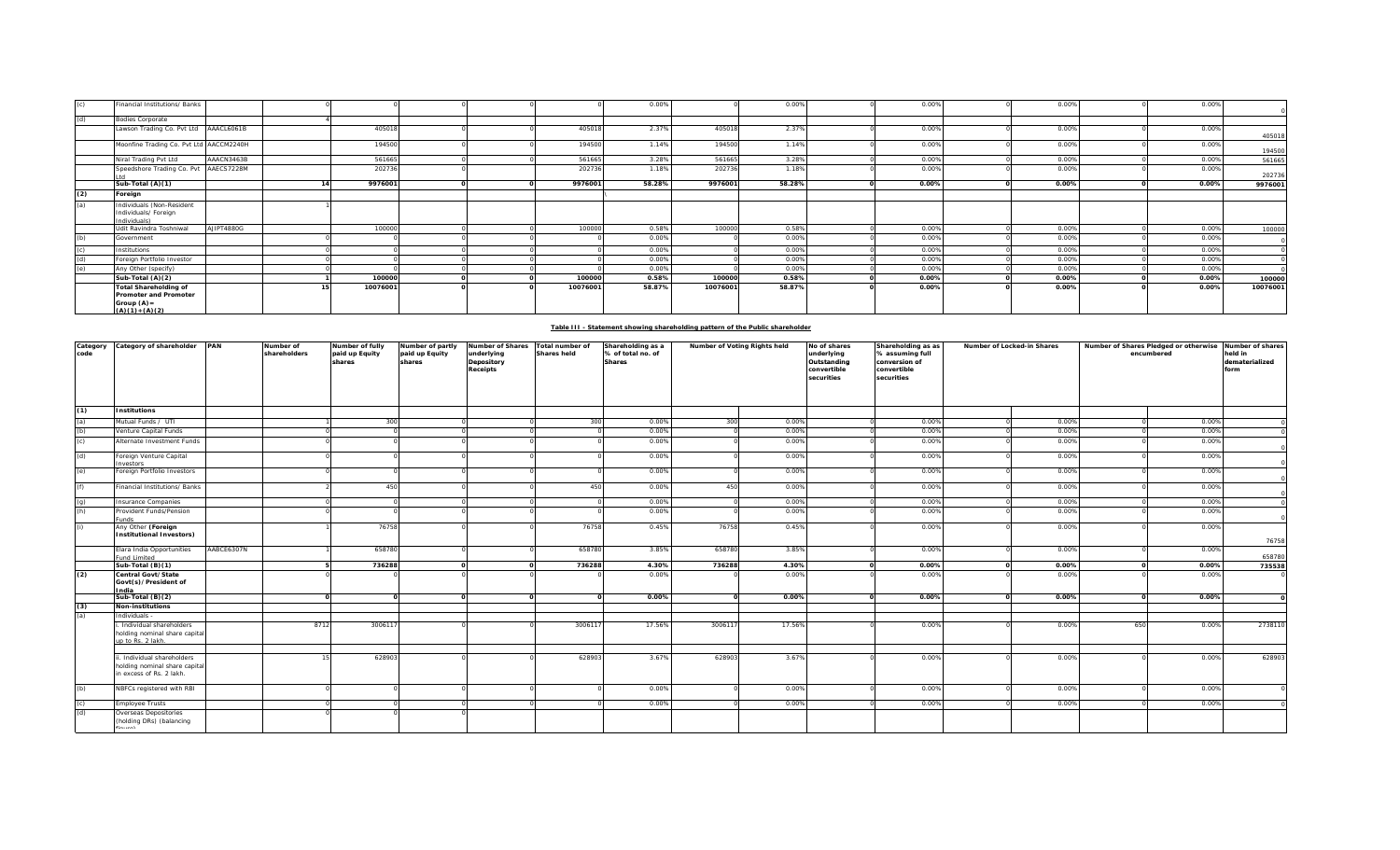|     | Financial Institutions/ Banks                                                                      |            |          |  |          | 0.00%  |          | 0.00%  | 0.00% | 0.00% | 0.00% |          |
|-----|----------------------------------------------------------------------------------------------------|------------|----------|--|----------|--------|----------|--------|-------|-------|-------|----------|
| (d) | <b>Bodies Corporate</b>                                                                            |            |          |  |          |        |          |        |       |       |       |          |
|     | Lawson Trading Co. Pvt Ltd AAACL6061B                                                              |            | 405018   |  | 405018   | 2.37%  | 405018   | 2.37%  | 0.00% | 0.00% | 0.00% | 405018   |
|     | Moonfine Trading Co. Pvt Ltd AACCM2240H                                                            |            | 194500   |  | 194500   | 1.14%  | 194500   | 1.14%  | 0.00% | 0.00% | 0.00% | 194500   |
|     | Niral Trading Pvt Ltd                                                                              | AAACN3463B | 561665   |  | 561665   | 3.28%  | 561665   | 3.28%  | 0.00% | 0.00% | 0.00% | 561665   |
|     | Speedshore Trading Co. Pvt AAECS7228M                                                              |            | 202736   |  | 202736   | 1.18%  | 202736   | 1.18%  | 0.00% | 0.00% | 0.00% | 202736   |
|     | Sub-Total (A)(1)                                                                                   |            | 9976001  |  | 9976001  | 58.28% | 9976001  | 58.28% | 0.00% | 0.00% | 0.00% | 9976001  |
| (2) | Foreign                                                                                            |            |          |  |          |        |          |        |       |       |       |          |
| (a) | Individuals (Non-Resident<br>Individuals/ Foreign<br>Individuals)                                  |            |          |  |          |        |          |        |       |       |       |          |
|     | Udit Ravindra Toshniwal                                                                            | AJIPT4880G | 100000   |  | 100000   | 0.58%  | 100000   | 0.58%  | 0.00% | 0.00% | 0.00% | 100000   |
| (b) | Government                                                                                         |            |          |  |          | 0.00%  |          | 0.00%  | 0.00% | 0.00% | 0.00% |          |
|     | Institutions                                                                                       |            |          |  |          | 0.00%  |          | 0.00%  | 0.00% | 0.00% | 0.00% |          |
| (d) | Foreign Portfolio Investor                                                                         |            |          |  |          | 0.00%  |          | 0.00%  | 0.00% | 0.00% | 0.00% |          |
| (e) | Any Other (specify)                                                                                |            |          |  |          | 0.00%  |          | 0.00%  | 0.00% | 0.00% | 0.00% |          |
|     | Sub-Total (A)(2)                                                                                   |            | 100000   |  | 100000   | 0.58%  | 100000   | 0.58%  | 0.00% | 0.00% | 0.00% | 100000   |
|     | <b>Total Shareholding of</b><br><b>Promoter and Promoter</b><br>Group $(A)$ =<br>$(A)(1) + (A)(2)$ |            | 10076001 |  | 10076001 | 58.87% | 10076001 | 58.87% | 0.00% | 0.00% | 0.00% | 10076001 |

| Table III - Statement showing shareholding pattern of the Public shareholder |  |
|------------------------------------------------------------------------------|--|
|                                                                              |  |
|                                                                              |  |

| Category<br>code | Category of shareholder PAN                                                             |            | Number of<br>shareholders | Number of fully<br>paid up Equity<br>shares | Number of partly<br>paid up Equity<br>shares | Number of Shares<br>underlying<br>Depository<br>Receipts | Total number of<br><b>Shares held</b> | Shareholding as a<br>% of total no. of<br><b>Shares</b> | Number of Voting Rights held |        | No of shares<br>underlying<br>Outstanding<br>convertible<br>securities | Shareholding as as<br>% assuming full<br>conversion of<br>convertible<br>securities | Number of Locked-in Shares | Number of Shares Pledged or otherwise Number of shares<br>encumbered | held in<br>dematerialized<br>form |
|------------------|-----------------------------------------------------------------------------------------|------------|---------------------------|---------------------------------------------|----------------------------------------------|----------------------------------------------------------|---------------------------------------|---------------------------------------------------------|------------------------------|--------|------------------------------------------------------------------------|-------------------------------------------------------------------------------------|----------------------------|----------------------------------------------------------------------|-----------------------------------|
| (1)              | <b>Institutions</b>                                                                     |            |                           |                                             |                                              |                                                          |                                       |                                                         |                              |        |                                                                        |                                                                                     |                            |                                                                      |                                   |
| (a)              | Mutual Funds / UTI                                                                      |            |                           | 300                                         |                                              |                                                          | 300                                   | 0.00%                                                   | 300                          | 0.00%  |                                                                        | 0.00%                                                                               | 0.00%                      |                                                                      | 0.00%                             |
| (b)              | Venture Capital Funds                                                                   |            |                           |                                             |                                              |                                                          |                                       | 0.00%                                                   |                              | 0.00%  |                                                                        | 0.00%                                                                               | 0.00%                      |                                                                      | 0.00%                             |
| (c)              | Alternate Investment Funds                                                              |            |                           |                                             |                                              |                                                          |                                       | 0.00%                                                   |                              | 0.00%  |                                                                        | 0.00%                                                                               | 0.00%                      |                                                                      | 0.00%                             |
| (d)              | Foreign Venture Capital<br>nvestors                                                     |            |                           |                                             |                                              |                                                          |                                       | 0.00%                                                   |                              | 0.00%  |                                                                        | 0.00%                                                                               | 0.00%                      |                                                                      | 0.00%                             |
| (e)              | Foreign Portfolio Investors                                                             |            |                           |                                             |                                              |                                                          |                                       | 0.00%                                                   |                              | 0.00%  |                                                                        | 0.00%                                                                               | 0.00%                      |                                                                      | 0.00%                             |
| (f)              | Financial Institutions/ Banks                                                           |            |                           | 450                                         |                                              |                                                          | 450                                   | 0.00%                                                   | 450                          | 0.00%  |                                                                        | 0.00%                                                                               | 0.00%                      |                                                                      | 0.00%                             |
| (q)              | nsurance Companies                                                                      |            |                           |                                             |                                              |                                                          |                                       | 0.00%                                                   |                              | 0.00%  |                                                                        | 0.00%                                                                               | 0.00%                      |                                                                      | 0.00%                             |
| (h)              | Provident Funds/Pension<br>unds                                                         |            |                           |                                             |                                              |                                                          |                                       | 0.00%                                                   |                              | 0.00%  |                                                                        | 0.00%                                                                               | 0.00%                      |                                                                      | 0.00%                             |
| (i)              | Any Other (Foreign<br>nstitutional Investors)                                           |            |                           | 76758                                       |                                              |                                                          | 76758                                 | 0.45%                                                   | 76758                        | 0.45%  |                                                                        | 0.00%                                                                               | 0.00%                      |                                                                      | 0.00%<br>76758                    |
|                  | Elara India Opportunities<br>und Limited                                                | AABCE6307N |                           | 658780                                      |                                              |                                                          | 658780                                | 3.85%                                                   | 658780                       | 3.85%  |                                                                        | 0.00%                                                                               | 0.00%                      |                                                                      | 0.00%<br>658780                   |
|                  | Sub-Total (B)(1)                                                                        |            |                           | 736288                                      |                                              |                                                          | 736288                                | 4.30%                                                   | 736288                       | 4.30%  |                                                                        | 0.00%                                                                               | 0.00%                      |                                                                      | 0.00%<br>735538                   |
| (2)              | Central Govt/State<br>Govt(s)/President of<br>India                                     |            |                           |                                             |                                              |                                                          |                                       | 0.00%                                                   |                              | 0.00%  |                                                                        | 0.00%                                                                               | 0.00%                      |                                                                      | 0.00%                             |
|                  | Sub-Total (B)(2)                                                                        |            |                           |                                             |                                              |                                                          | $\Omega$                              | 0.00%                                                   | $\Omega$                     | 0.00%  |                                                                        | 0.00%                                                                               | 0.00%                      |                                                                      | 0.00%                             |
| (3)              | <b>Non-institutions</b>                                                                 |            |                           |                                             |                                              |                                                          |                                       |                                                         |                              |        |                                                                        |                                                                                     |                            |                                                                      |                                   |
| (a)              | Individuals -                                                                           |            |                           |                                             |                                              |                                                          |                                       |                                                         |                              |        |                                                                        |                                                                                     |                            |                                                                      |                                   |
|                  | Individual shareholders<br>holding nominal share capital<br>up to Rs. 2 lakh.           |            | 8712                      | 300611                                      |                                              |                                                          | 300611                                | 17.56%                                                  | 3006117                      | 17.56% |                                                                        | 0.00%                                                                               | 0.00%                      | 650                                                                  | 2738110<br>0.00%                  |
|                  |                                                                                         |            |                           |                                             |                                              |                                                          |                                       |                                                         |                              |        |                                                                        |                                                                                     |                            |                                                                      |                                   |
|                  | i. Individual shareholders<br>holding nominal share capital<br>in excess of Rs. 2 lakh. |            |                           | 628903                                      |                                              |                                                          | 628903                                | 3.67%                                                   | 628903                       | 3.67%  |                                                                        | 0.00%                                                                               | 0.00%                      |                                                                      | 628903<br>0.00%                   |
| (b)              | NBFCs registered with RBI                                                               |            |                           |                                             |                                              |                                                          |                                       | 0.00%                                                   |                              | 0.00%  |                                                                        | 0.00%                                                                               | 0.00%                      |                                                                      | 0.00%                             |
| (c)              | <b>Employee Trusts</b>                                                                  |            |                           |                                             |                                              |                                                          |                                       | 0.00%                                                   |                              | 0.00%  |                                                                        | 0.00%                                                                               | 0.00%                      |                                                                      | 0.00%                             |
| (d)              | Overseas Depositories<br>(holding DRs) (balancing                                       |            |                           |                                             |                                              |                                                          |                                       |                                                         |                              |        |                                                                        |                                                                                     |                            |                                                                      |                                   |